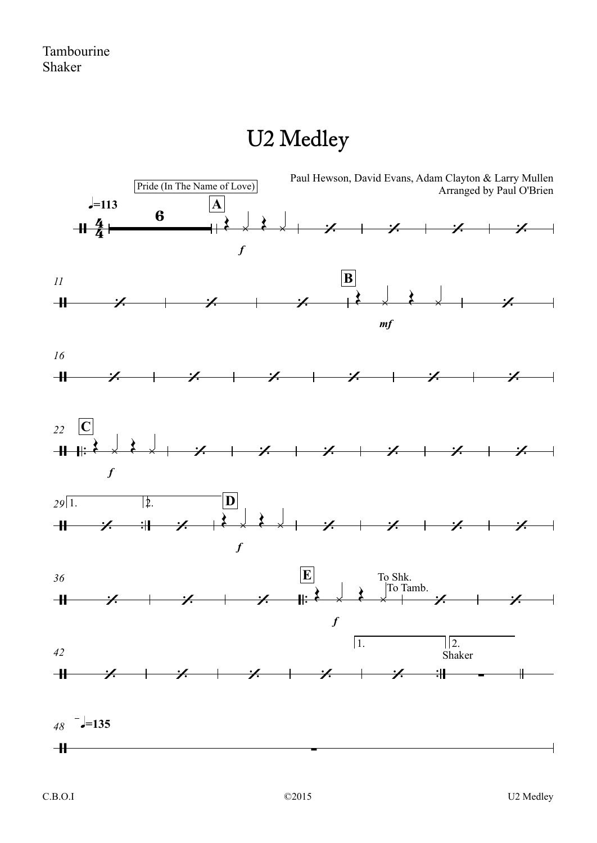## U2 Medley